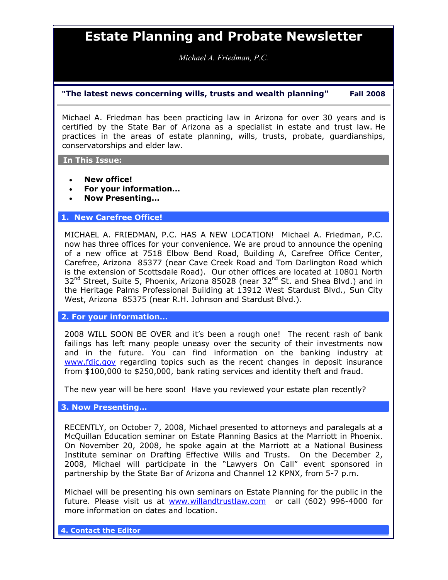## Estate Planning and Probate Newsletter

Michael A. Friedman, P.C.

## "The latest news concerning wills, trusts and wealth planning" Fall 2008

Michael A. Friedman has been practicing law in Arizona for over 30 years and is certified by the State Bar of Arizona as a specialist in estate and trust law. He practices in the areas of estate planning, wills, trusts, probate, guardianships, conservatorships and elder law.

In This Issue:

- New office!
- For your information…
- Now Presenting…

## 1. New Carefree Office!

MICHAEL A. FRIEDMAN, P.C. HAS A NEW LOCATION! Michael A. Friedman, P.C. now has three offices for your convenience. We are proud to announce the opening of a new office at 7518 Elbow Bend Road, Building A, Carefree Office Center, Carefree, Arizona 85377 (near Cave Creek Road and Tom Darlington Road which is the extension of Scottsdale Road). Our other offices are located at 10801 North  $32^{nd}$  Street, Suite 5, Phoenix, Arizona 85028 (near  $32^{nd}$  St. and Shea Blvd.) and in the Heritage Palms Professional Building at 13912 West Stardust Blvd., Sun City West, Arizona 85375 (near R.H. Johnson and Stardust Blvd.).

2. For your information…

2008 WILL SOON BE OVER and it's been a rough one! The recent rash of bank failings has left many people uneasy over the security of their investments now and in the future. You can find information on the banking industry at www.fdic.gov regarding topics such as the recent changes in deposit insurance from \$100,000 to \$250,000, bank rating services and identity theft and fraud.

The new year will be here soon! Have you reviewed your estate plan recently?

3. Now Presenting…

RECENTLY, on October 7, 2008, Michael presented to attorneys and paralegals at a McQuillan Education seminar on Estate Planning Basics at the Marriott in Phoenix. On November 20, 2008, he spoke again at the Marriott at a National Business Institute seminar on Drafting Effective Wills and Trusts. On the December 2, 2008, Michael will participate in the "Lawyers On Call" event sponsored in partnership by the State Bar of Arizona and Channel 12 KPNX, from 5-7 p.m.

Michael will be presenting his own seminars on Estate Planning for the public in the future. Please visit us at www.willandtrustlaw.com or call (602) 996-4000 for more information on dates and location.

4. Contact the Editor